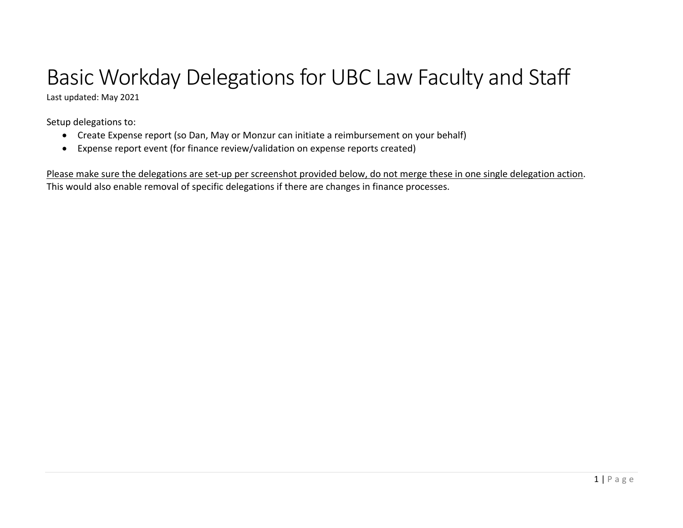# Basic Workday Delegations for UBC Law Faculty and Staff

Last updated: May 2021

Setup delegations to:

- Create Expense report (so Dan, May or Monzur can initiate <sup>a</sup> reimbursement on your behalf)
- Expense report event (for finance review/validation on expense reports created)

Please make sure the delegations are set-up per screenshot provided below, do not merge these in one single delegation action. This would also enable removal of specific delegations if there are changes in finance processes.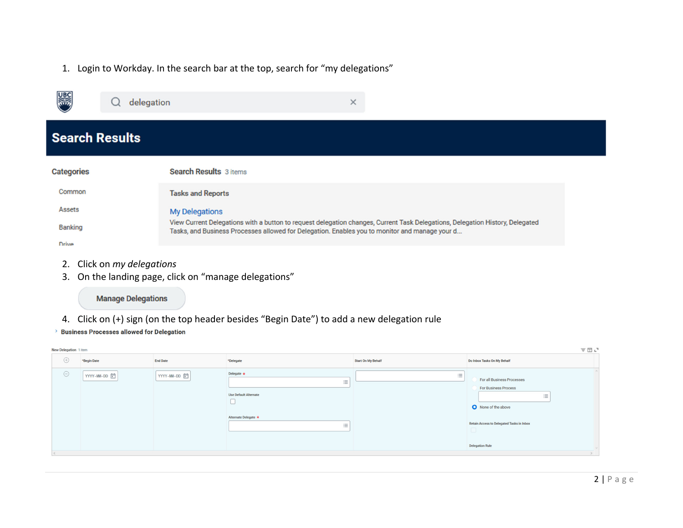1. Login to Workday. In the search bar at the top, search for "my delegations"

| ▒                     | $\times$<br>delegation                                                                                                                                                                                                          |
|-----------------------|---------------------------------------------------------------------------------------------------------------------------------------------------------------------------------------------------------------------------------|
| <b>Search Results</b> |                                                                                                                                                                                                                                 |
| <b>Categories</b>     | <b>Search Results</b> 3 items                                                                                                                                                                                                   |
| Common                | <b>Tasks and Reports</b>                                                                                                                                                                                                        |
| Assets                | <b>My Delegations</b>                                                                                                                                                                                                           |
| <b>Banking</b>        | View Current Delegations with a button to request delegation changes, Current Task Delegations, Delegation History, Delegated<br>Tasks, and Business Processes allowed for Delegation. Enables you to monitor and manage your d |
| Drive                 |                                                                                                                                                                                                                                 |

- 2. Click on *my delegations*
- 3. On the landing page, click on "manage delegations"

**Manage Delegations** 

- 4. Click on (+) sign (on the top header besides "Begin Date") to add <sup>a</sup> new delegation rule
- > Business Processes allowed for Delegation

| 三田ご<br>New Delegation 1 item |             |                 |                                                                                                        |                           |                                                                                                                                                                               |
|------------------------------|-------------|-----------------|--------------------------------------------------------------------------------------------------------|---------------------------|-------------------------------------------------------------------------------------------------------------------------------------------------------------------------------|
| $\bigoplus$                  | *Begin Date | <b>End Date</b> | *Delegate                                                                                              | <b>Start On My Behalf</b> | Do Inbox Tasks On My Behalf                                                                                                                                                   |
| $\odot$                      | YYYY-MM-DD  | YYYY-MM-DD      | Delegate $\star$<br>這<br><b>Use Default Alternate</b><br>Alternate Delegate *<br>$\mathrel{\mathop:}=$ | 這                         | For all Business Processes<br><b>For Business Process</b><br>ÎΞ.<br>None of the above<br><b>Retain Access to Delegated Tasks in Inbox</b><br>$\Box$<br><b>Delegation Rule</b> |
|                              |             |                 |                                                                                                        |                           |                                                                                                                                                                               |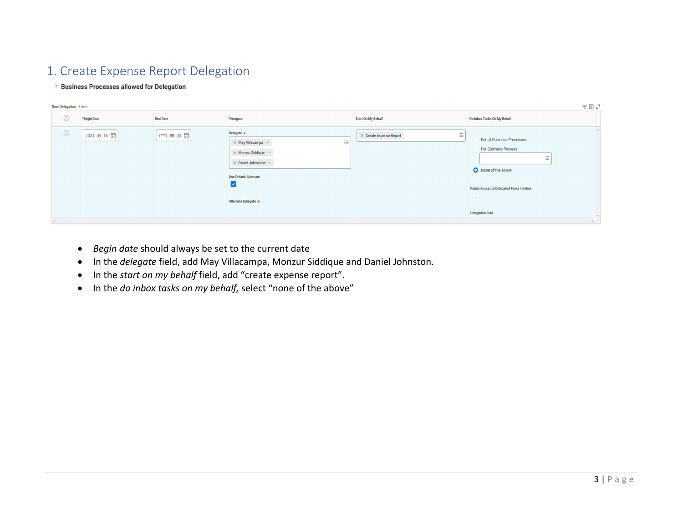# 1. Create Expense Report Delegation

#### > Business Processes allowed for Delegation

|                        | New Delegation 1 item |                 |                                                                                                                                                                                                                 |                                     |                                                                                                                                                                             |  |
|------------------------|-----------------------|-----------------|-----------------------------------------------------------------------------------------------------------------------------------------------------------------------------------------------------------------|-------------------------------------|-----------------------------------------------------------------------------------------------------------------------------------------------------------------------------|--|
| $\hspace{.1cm} \oplus$ | *Begin Date           | <b>End Date</b> | *Delegate                                                                                                                                                                                                       | <b>Start On My Behalf</b>           | Do Inbox Tasks On My Behalf                                                                                                                                                 |  |
| $\ominus$              | 2021-03-16            | YYYY-MM-DD 自    | Delegate $\star$<br>$\equiv$<br>$\times$ May Villacampa $\cdots$<br>$\times$ Monzur Siddique $\cdots$<br>× Daniel Johnstone »<br><b>Use Default Alternate</b><br>$\vert\downarrow\vert$<br>Alternate Delegate * | 這<br>$\times$ Create Expense Report | For all Business Processes<br><b>For Business Process</b><br>三<br>None of the above<br><b>Retain Access to Delegated Tasks in Inbox</b><br>$\Box$<br><b>Delegation Rule</b> |  |
|                        |                       |                 |                                                                                                                                                                                                                 |                                     |                                                                                                                                                                             |  |

- *Begin date* should always be set to the current date
- $\bullet$ In the *delegate* field, add May Villacampa, Monzur Siddique and Daniel Johnston.
- In the *start on my behalf* field, add "create expense report".
- In the *do inbox tasks on my behalf,* select "none of the above"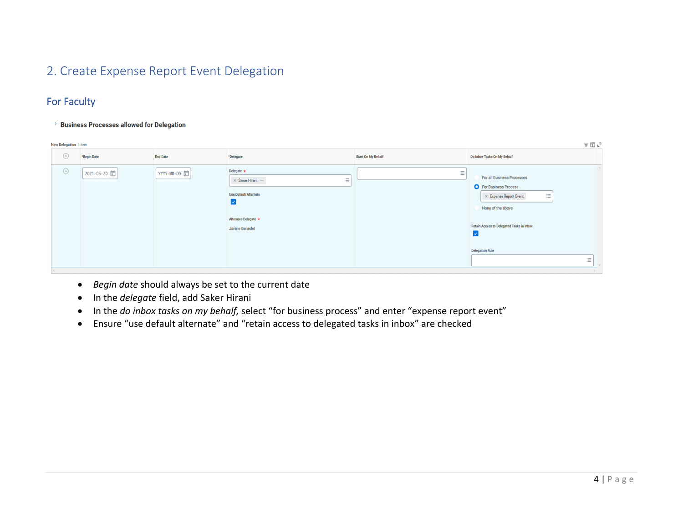## 2. Create Expense Report Event Delegation

## For Faculty

> Business Processes allowed for Delegation

|             | 三田山<br>New Delegation 1 item |                 |                                                                                                                                                           |                           |                                                                                                                                                                                                                       |
|-------------|------------------------------|-----------------|-----------------------------------------------------------------------------------------------------------------------------------------------------------|---------------------------|-----------------------------------------------------------------------------------------------------------------------------------------------------------------------------------------------------------------------|
| $\bigoplus$ | *Begin Date                  | <b>End Date</b> | *Delegate                                                                                                                                                 | <b>Start On My Behalf</b> | Do Inbox Tasks On My Behalf                                                                                                                                                                                           |
| $\ominus$   | 2021-05-20                   | YYYY-MM-DD 自    | Delegate $\star$<br>三<br>$\times$ Saker Hirani $\cdots$<br><b>Use Default Alternate</b><br>$\blacktriangledown$<br>Alternate Delegate *<br>Janine Benedet | 三                         | For all Business Processes<br><b>O</b> For Business Process<br>$\equiv$<br>$\times$ Expense Report Event<br>None of the above<br><b>Retain Access to Delegated Tasks in Inbox</b><br>⊻<br><b>Delegation Rule</b><br>洼 |
|             |                              |                 |                                                                                                                                                           |                           |                                                                                                                                                                                                                       |

- *Begin date* should always be set to the current date
- **•** In the *delegate* field, add Saker Hirani
- $\bullet$ In the *do inbox tasks on my behalf,* select "for business process" and enter "expense report event"
- Ensure "use default alternate" and "retain access to delegated tasks in inbox" are checked